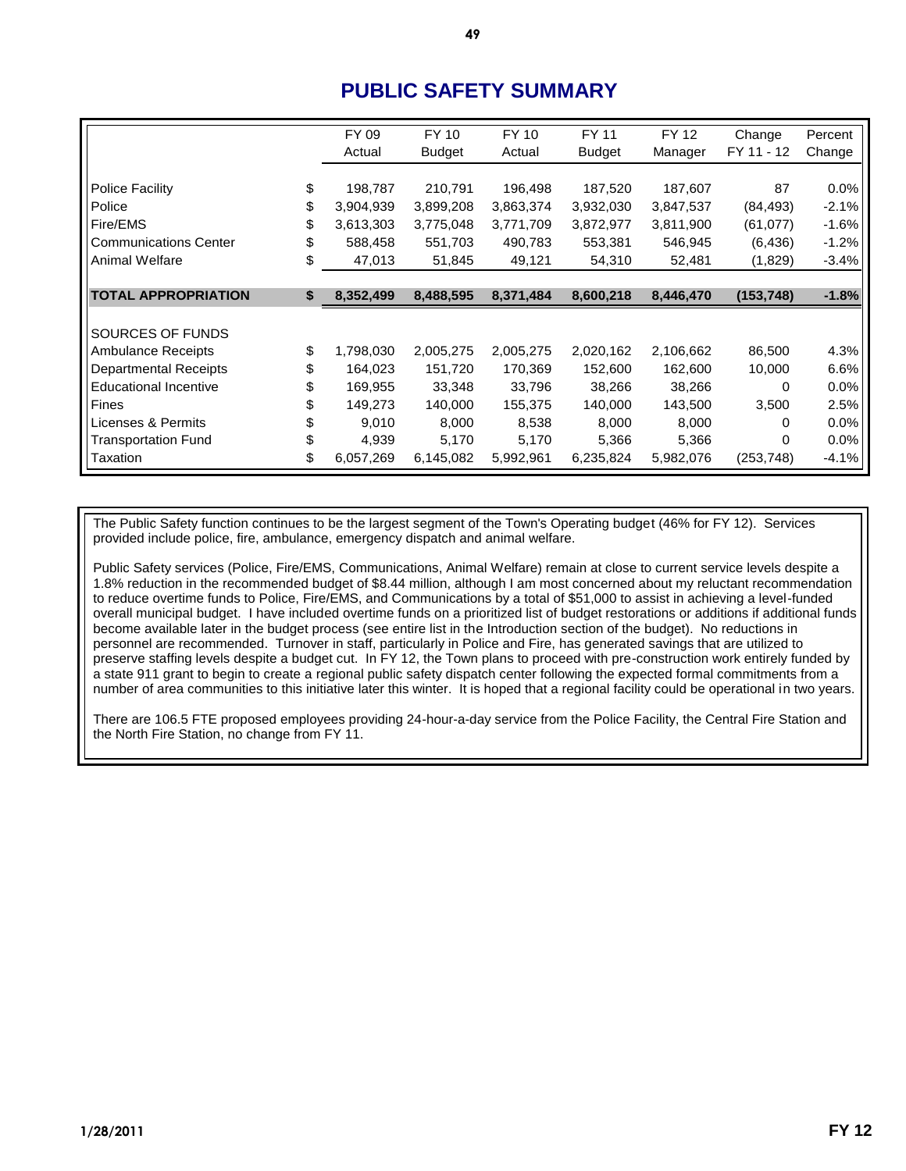# **PUBLIC SAFETY SUMMARY**

|                              |    | FY 09     | FY 10         | FY 10     | FY 11         | FY 12     | Change     | Percent |
|------------------------------|----|-----------|---------------|-----------|---------------|-----------|------------|---------|
|                              |    | Actual    | <b>Budget</b> | Actual    | <b>Budget</b> | Manager   | FY 11 - 12 | Change  |
|                              |    |           |               |           |               |           |            |         |
| <b>Police Facility</b>       | \$ | 198,787   | 210.791       | 196,498   | 187,520       | 187,607   | 87         | 0.0%    |
| Police                       | \$ | 3,904,939 | 3,899,208     | 3,863,374 | 3,932,030     | 3,847,537 | (84, 493)  | $-2.1%$ |
| Fire/EMS                     | \$ | 3,613,303 | 3,775,048     | 3,771,709 | 3,872,977     | 3,811,900 | (61, 077)  | $-1.6%$ |
| <b>Communications Center</b> | S  | 588,458   | 551,703       | 490,783   | 553,381       | 546,945   | (6, 436)   | $-1.2%$ |
| Animal Welfare               | \$ | 47,013    | 51,845        | 49,121    | 54,310        | 52,481    | (1,829)    | $-3.4%$ |
|                              |    |           |               |           |               |           |            |         |
| <b>TOTAL APPROPRIATION</b>   | \$ | 8,352,499 | 8,488,595     | 8,371,484 | 8,600,218     | 8,446,470 | (153, 748) | $-1.8%$ |
|                              |    |           |               |           |               |           |            |         |
| SOURCES OF FUNDS             |    |           |               |           |               |           |            |         |
| <b>Ambulance Receipts</b>    | \$ | 1,798,030 | 2,005,275     | 2,005,275 | 2,020,162     | 2,106,662 | 86,500     | 4.3%    |
| <b>Departmental Receipts</b> | \$ | 164,023   | 151,720       | 170,369   | 152,600       | 162,600   | 10,000     | 6.6%    |
| <b>Educational Incentive</b> | \$ | 169,955   | 33,348        | 33,796    | 38,266        | 38,266    | 0          | 0.0%    |
| Fines                        | \$ | 149,273   | 140,000       | 155,375   | 140,000       | 143,500   | 3,500      | 2.5%    |
| Licenses & Permits           | \$ | 9,010     | 8,000         | 8,538     | 8,000         | 8,000     | 0          | 0.0%    |
| <b>Transportation Fund</b>   | \$ | 4,939     | 5,170         | 5,170     | 5,366         | 5,366     | 0          | 0.0%    |
| Taxation                     | \$ | 6,057,269 | 6,145,082     | 5,992,961 | 6,235,824     | 5,982,076 | (253, 748) | $-4.1%$ |

The Public Safety function continues to be the largest segment of the Town's Operating budget (46% for FY 12). Services provided include police, fire, ambulance, emergency dispatch and animal welfare.

Public Safety services (Police, Fire/EMS, Communications, Animal Welfare) remain at close to current service levels despite a 1.8% reduction in the recommended budget of \$8.44 million, although I am most concerned about my reluctant recommendation to reduce overtime funds to Police, Fire/EMS, and Communications by a total of \$51,000 to assist in achieving a level-funded overall municipal budget. I have included overtime funds on a prioritized list of budget restorations or additions if additional funds become available later in the budget process (see entire list in the Introduction section of the budget). No reductions in personnel are recommended. Turnover in staff, particularly in Police and Fire, has generated savings that are utilized to preserve staffing levels despite a budget cut. In FY 12, the Town plans to proceed with pre-construction work entirely funded by a state 911 grant to begin to create a regional public safety dispatch center following the expected formal commitments from a number of area communities to this initiative later this winter. It is hoped that a regional facility could be operational in two years.

There are 106.5 FTE proposed employees providing 24-hour-a-day service from the Police Facility, the Central Fire Station and the North Fire Station, no change from FY 11.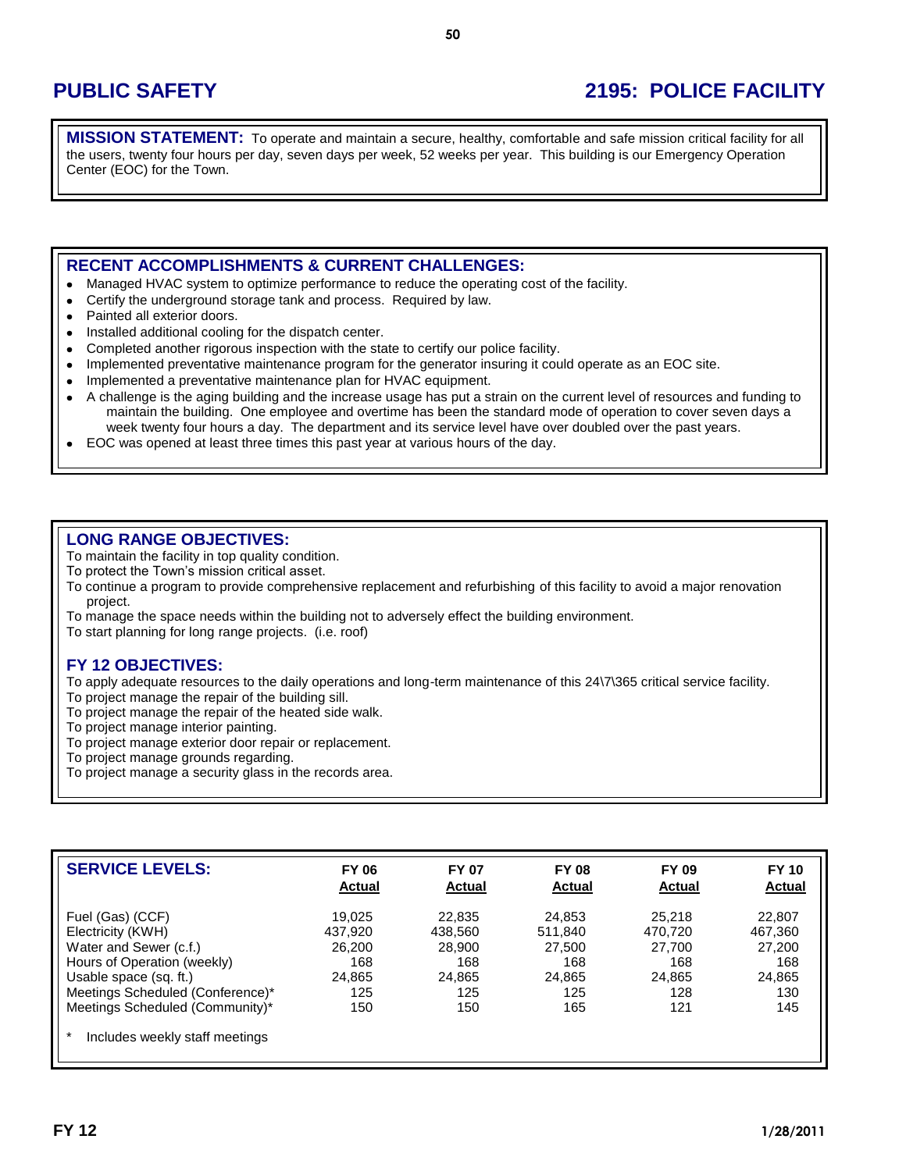# **PUBLIC SAFETY 2195: POLICE FACILITY**

**MISSION STATEMENT:** To operate and maintain a secure, healthy, comfortable and safe mission critical facility for all the users, twenty four hours per day, seven days per week, 52 weeks per year. This building is our Emergency Operation Center (EOC) for the Town.

### **RECENT ACCOMPLISHMENTS & CURRENT CHALLENGES:**

- Managed HVAC system to optimize performance to reduce the operating cost of the facility.  $\bullet$
- $\bullet$ Certify the underground storage tank and process. Required by law.
- Painted all exterior doors.  $\bullet$
- Installed additional cooling for the dispatch center.  $\bullet$
- Completed another rigorous inspection with the state to certify our police facility.  $\bullet$
- Implemented preventative maintenance program for the generator insuring it could operate as an EOC site.  $\bullet$
- Implemented a preventative maintenance plan for HVAC equipment.  $\bullet$
- $\bullet$ A challenge is the aging building and the increase usage has put a strain on the current level of resources and funding to maintain the building. One employee and overtime has been the standard mode of operation to cover seven days a week twenty four hours a day. The department and its service level have over doubled over the past years.
- EOC was opened at least three times this past year at various hours of the day.  $\bullet$

### **LONG RANGE OBJECTIVES:**

To maintain the facility in top quality condition.

- To protect the Town's mission critical asset.
- To continue a program to provide comprehensive replacement and refurbishing of this facility to avoid a major renovation project.
- To manage the space needs within the building not to adversely effect the building environment.

To start planning for long range projects. (i.e. roof)

### **FY 12 OBJECTIVES:**

To apply adequate resources to the daily operations and long-term maintenance of this 24\7\365 critical service facility.

- To project manage the repair of the building sill.
- To project manage the repair of the heated side walk.
- To project manage interior painting.
- To project manage exterior door repair or replacement.
- To project manage grounds regarding.
- To project manage a security glass in the records area.

| <b>SERVICE LEVELS:</b>                                                       | <b>FY 06</b> | <b>FY 07</b>  | <b>FY 08</b>  | <b>FY 09</b> | <b>FY 10</b>  |
|------------------------------------------------------------------------------|--------------|---------------|---------------|--------------|---------------|
|                                                                              | Actual       | <b>Actual</b> | <b>Actual</b> | Actual       | <b>Actual</b> |
| Fuel (Gas) (CCF)                                                             | 19.025       | 22,835        | 24.853        | 25.218       | 22,807        |
| Electricity (KWH)                                                            | 437,920      | 438.560       | 511.840       | 470.720      | 467,360       |
| Water and Sewer (c.f.)                                                       | 26.200       | 28,900        | 27.500        | 27,700       | 27,200        |
| Hours of Operation (weekly)                                                  | 168          | 168           | 168           | 168          | 168           |
| Usable space (sq. ft.)                                                       | 24,865       | 24,865        | 24,865        | 24,865       | 24,865        |
| Meetings Scheduled (Conference)*                                             | 125          | 125           | 125           | 128          | 130           |
| Meetings Scheduled (Community)*<br>$\star$<br>Includes weekly staff meetings | 150          | 150           | 165           | 121          | 145           |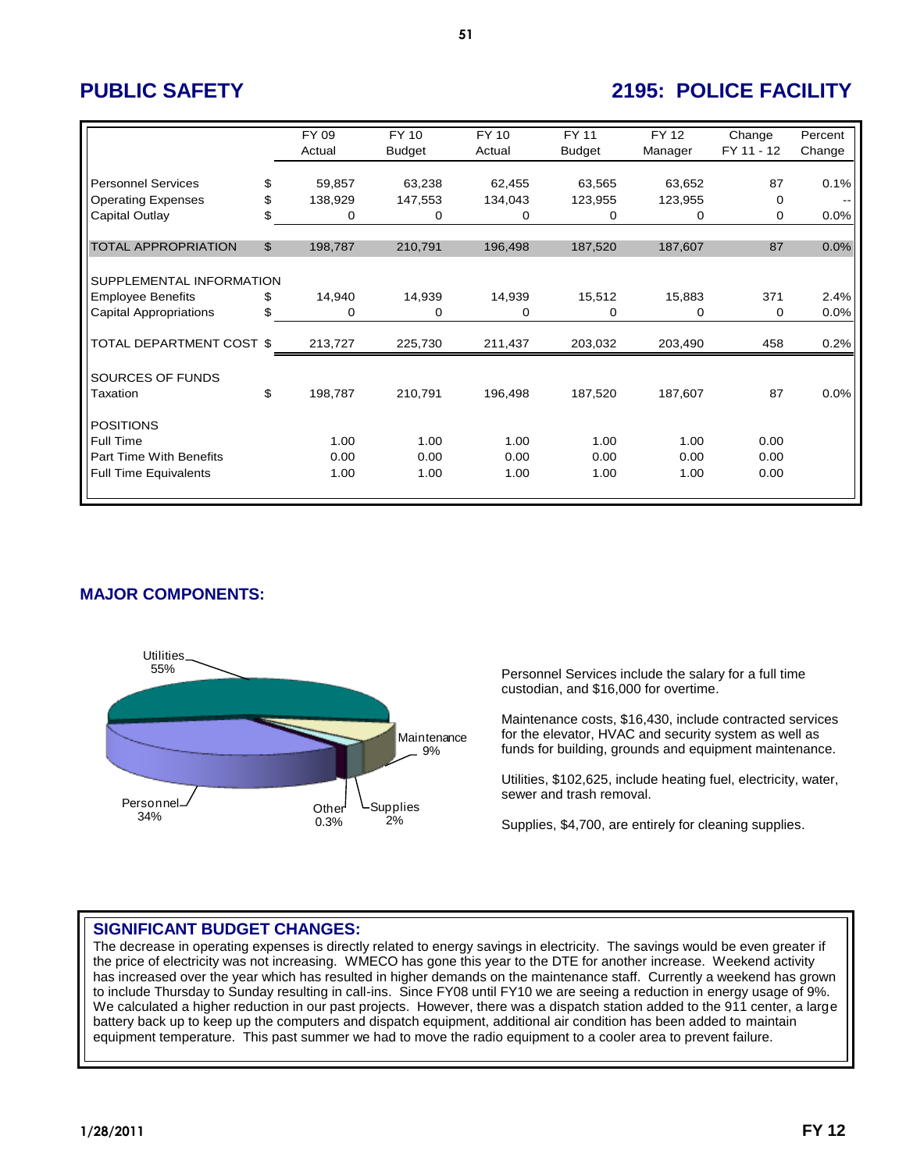# **PUBLIC SAFETY 2195: POLICE FACILITY**

|                               |    | FY 09   | <b>FY 10</b>  | FY 10   | <b>FY 11</b>  | <b>FY12</b> | Change     | Percent |  |  |  |
|-------------------------------|----|---------|---------------|---------|---------------|-------------|------------|---------|--|--|--|
|                               |    | Actual  | <b>Budget</b> | Actual  | <b>Budget</b> | Manager     | FY 11 - 12 | Change  |  |  |  |
| <b>Personnel Services</b>     | \$ | 59,857  | 63,238        | 62,455  | 63,565        | 63,652      | 87         | 0.1%    |  |  |  |
| <b>Operating Expenses</b>     | \$ | 138,929 | 147,553       | 134,043 | 123,955       | 123,955     | 0          |         |  |  |  |
| Capital Outlay                | \$ | 0       | 0             | 0       | 0             | 0           | 0          | 0.0%    |  |  |  |
|                               |    |         |               |         |               |             |            |         |  |  |  |
| TOTAL APPROPRIATION           | \$ | 198,787 | 210,791       | 196,498 | 187,520       | 187,607     | 87         | 0.0%    |  |  |  |
| SUPPLEMENTAL INFORMATION      |    |         |               |         |               |             |            |         |  |  |  |
|                               |    |         |               |         |               |             |            |         |  |  |  |
| <b>Employee Benefits</b>      | \$ | 14,940  | 14,939        | 14,939  | 15,512        | 15,883      | 371        | 2.4%    |  |  |  |
| <b>Capital Appropriations</b> | \$ | 0       | 0             | 0       | 0             | 0           | 0          | 0.0%    |  |  |  |
| TOTAL DEPARTMENT COST \$      |    | 213,727 | 225,730       | 211,437 | 203,032       | 203,490     | 458        | 0.2%    |  |  |  |
|                               |    |         |               |         |               |             |            |         |  |  |  |
| SOURCES OF FUNDS              |    |         |               |         |               |             |            |         |  |  |  |
| Taxation                      | \$ | 198,787 | 210,791       | 196,498 | 187,520       | 187,607     | 87         | 0.0%    |  |  |  |
| <b>POSITIONS</b>              |    |         |               |         |               |             |            |         |  |  |  |
| <b>Full Time</b>              |    | 1.00    | 1.00          | 1.00    | 1.00          | 1.00        | 0.00       |         |  |  |  |
| Part Time With Benefits       |    | 0.00    | 0.00          | 0.00    | 0.00          | 0.00        | 0.00       |         |  |  |  |
| <b>Full Time Equivalents</b>  |    | 1.00    | 1.00          | 1.00    | 1.00          | 1.00        | 0.00       |         |  |  |  |
|                               |    |         |               |         |               |             |            |         |  |  |  |

## **MAJOR COMPONENTS:**



Personnel Services include the salary for a full time custodian, and \$16,000 for overtime.

Maintenance costs, \$16,430, include contracted services for the elevator, HVAC and security system as well as funds for building, grounds and equipment maintenance.

Utilities, \$102,625, include heating fuel, electricity, water, sewer and trash removal.

Supplies, \$4,700, are entirely for cleaning supplies.

### **SIGNIFICANT BUDGET CHANGES:**

The decrease in operating expenses is directly related to energy savings in electricity. The savings would be even greater if the price of electricity was not increasing. WMECO has gone this year to the DTE for another increase. Weekend activity has increased over the year which has resulted in higher demands on the maintenance staff. Currently a weekend has grown to include Thursday to Sunday resulting in call-ins. Since FY08 until FY10 we are seeing a reduction in energy usage of 9%. We calculated a higher reduction in our past projects. However, there was a dispatch station added to the 911 center, a large battery back up to keep up the computers and dispatch equipment, additional air condition has been added to maintain equipment temperature. This past summer we had to move the radio equipment to a cooler area to prevent failure.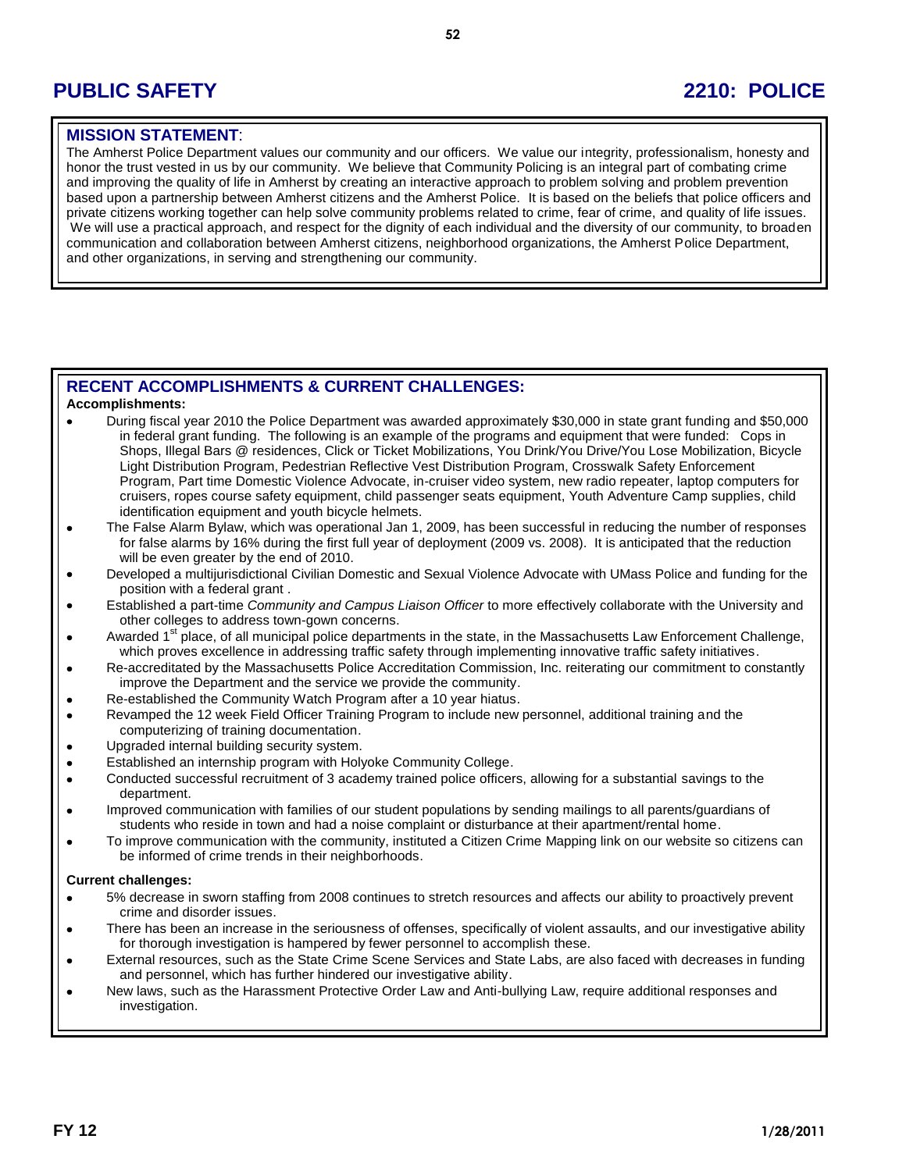# **PUBLIC SAFETY 2210: POLICE**

### **MISSION STATEMENT**:

The Amherst Police Department values our community and our officers. We value our integrity, professionalism, honesty and honor the trust vested in us by our community. We believe that Community Policing is an integral part of combating crime and improving the quality of life in Amherst by creating an interactive approach to problem solving and problem prevention based upon a partnership between Amherst citizens and the Amherst Police. It is based on the beliefs that police officers and private citizens working together can help solve community problems related to crime, fear of crime, and quality of life issues. We will use a practical approach, and respect for the dignity of each individual and the diversity of our community, to broaden communication and collaboration between Amherst citizens, neighborhood organizations, the Amherst Police Department, and other organizations, in serving and strengthening our community.

### **RECENT ACCOMPLISHMENTS & CURRENT CHALLENGES:**

### **Accomplishments:**

- During fiscal year 2010 the Police Department was awarded approximately \$30,000 in state grant funding and \$50,000 in federal grant funding. The following is an example of the programs and equipment that were funded: Cops in Shops, Illegal Bars @ residences, Click or Ticket Mobilizations, You Drink/You Drive/You Lose Mobilization, Bicycle Light Distribution Program, Pedestrian Reflective Vest Distribution Program, Crosswalk Safety Enforcement Program, Part time Domestic Violence Advocate, in-cruiser video system, new radio repeater, laptop computers for cruisers, ropes course safety equipment, child passenger seats equipment, Youth Adventure Camp supplies, child identification equipment and youth bicycle helmets.
- The False Alarm Bylaw, which was operational Jan 1, 2009, has been successful in reducing the number of responses for false alarms by 16% during the first full year of deployment (2009 vs. 2008). It is anticipated that the reduction will be even greater by the end of 2010.
- Developed a multijurisdictional Civilian Domestic and Sexual Violence Advocate with UMass Police and funding for the position with a federal grant .
- Established a part-time *Community and Campus Liaison Officer* to more effectively collaborate with the University and other colleges to address town-gown concerns.
- Awarded 1<sup>st</sup> place, of all municipal police departments in the state, in the Massachusetts Law Enforcement Challenge, which proves excellence in addressing traffic safety through implementing innovative traffic safety initiatives.
- Re-accreditated by the Massachusetts Police Accreditation Commission, Inc. reiterating our commitment to constantly improve the Department and the service we provide the community.
- Re-established the Community Watch Program after a 10 year hiatus.
- Revamped the 12 week Field Officer Training Program to include new personnel, additional training and the computerizing of training documentation.
- Upgraded internal building security system.
- Established an internship program with Holyoke Community College.
- Conducted successful recruitment of 3 academy trained police officers, allowing for a substantial savings to the  $\bullet$ department.
- Improved communication with families of our student populations by sending mailings to all parents/guardians of  $\bullet$ students who reside in town and had a noise complaint or disturbance at their apartment/rental home.
- To improve communication with the community, instituted a Citizen Crime Mapping link on our website so citizens can  $\bullet$ be informed of crime trends in their neighborhoods.

### **Current challenges:**

- 5% decrease in sworn staffing from 2008 continues to stretch resources and affects our ability to proactively prevent crime and disorder issues.
- There has been an increase in the seriousness of offenses, specifically of violent assaults, and our investigative ability for thorough investigation is hampered by fewer personnel to accomplish these.
- External resources, such as the State Crime Scene Services and State Labs, are also faced with decreases in funding and personnel, which has further hindered our investigative ability.
- New laws, such as the Harassment Protective Order Law and Anti-bullying Law, require additional responses and investigation.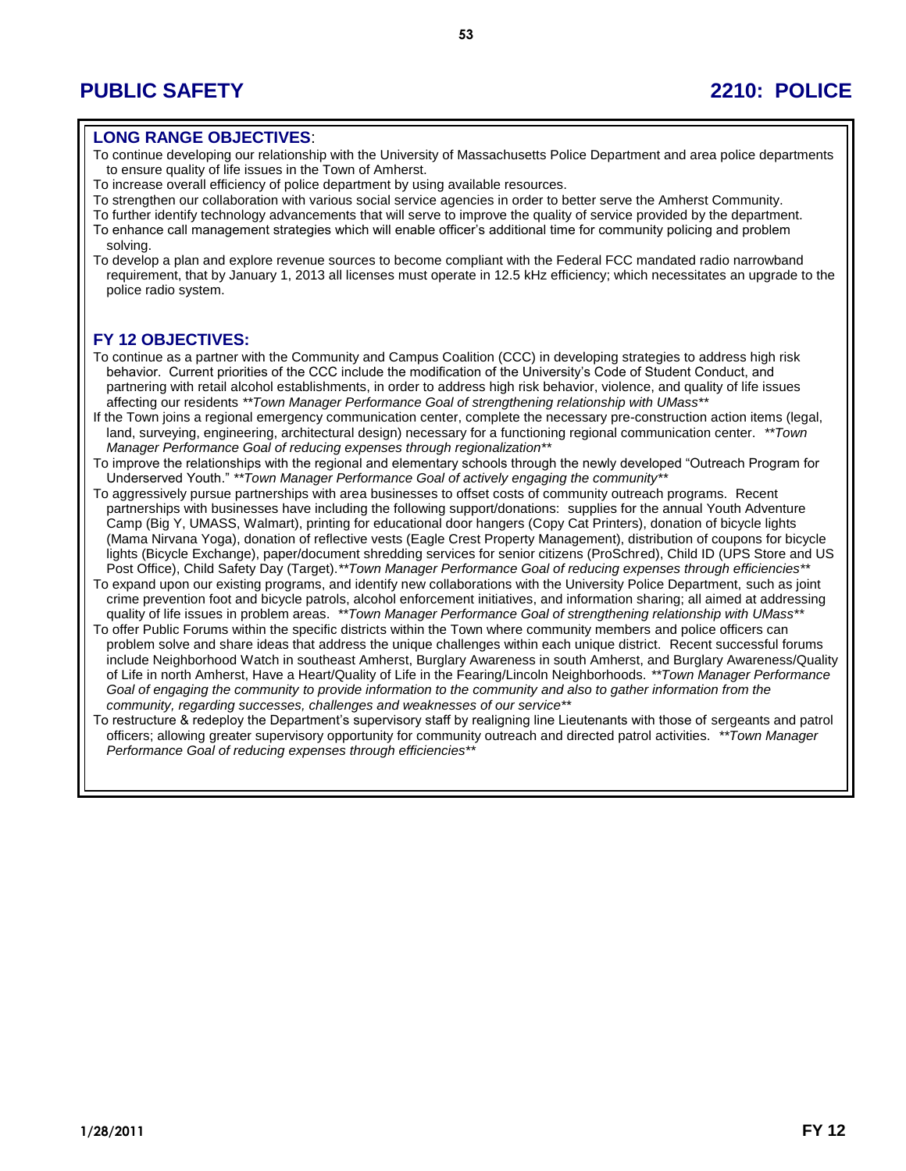# **PUBLIC SAFETY 2210: POLICE**

### **LONG RANGE OBJECTIVES**:

- To continue developing our relationship with the University of Massachusetts Police Department and area police departments to ensure quality of life issues in the Town of Amherst.
- To increase overall efficiency of police department by using available resources.
- To strengthen our collaboration with various social service agencies in order to better serve the Amherst Community.
- To further identify technology advancements that will serve to improve the quality of service provided by the department. To enhance call management strategies which will enable officer's additional time for community policing and problem solving.
- To develop a plan and explore revenue sources to become compliant with the Federal FCC mandated radio narrowband requirement, that by January 1, 2013 all licenses must operate in 12.5 kHz efficiency; which necessitates an upgrade to the police radio system.

### **FY 12 OBJECTIVES:**

- To continue as a partner with the Community and Campus Coalition (CCC) in developing strategies to address high risk behavior. Current priorities of the CCC include the modification of the University's Code of Student Conduct, and partnering with retail alcohol establishments, in order to address high risk behavior, violence, and quality of life issues affecting our residents *\*\*Town Manager Performance Goal of strengthening relationship with UMass\*\**
- If the Town joins a regional emergency communication center, complete the necessary pre-construction action items (legal, land, surveying, engineering, architectural design) necessary for a functioning regional communication center. *\*\*Town Manager Performance Goal of reducing expenses through regionalization\*\**
- To improve the relationships with the regional and elementary schools through the newly developed "Outreach Program for Underserved Youth." *\*\*Town Manager Performance Goal of actively engaging the community\*\**
- To aggressively pursue partnerships with area businesses to offset costs of community outreach programs. Recent partnerships with businesses have including the following support/donations: supplies for the annual Youth Adventure Camp (Big Y, UMASS, Walmart), printing for educational door hangers (Copy Cat Printers), donation of bicycle lights (Mama Nirvana Yoga), donation of reflective vests (Eagle Crest Property Management), distribution of coupons for bicycle lights (Bicycle Exchange), paper/document shredding services for senior citizens (ProSchred), Child ID (UPS Store and US Post Office), Child Safety Day (Target).*\*\*Town Manager Performance Goal of reducing expenses through efficiencies\*\**
- To expand upon our existing programs, and identify new collaborations with the University Police Department, such as joint crime prevention foot and bicycle patrols, alcohol enforcement initiatives, and information sharing; all aimed at addressing quality of life issues in problem areas. *\*\*Town Manager Performance Goal of strengthening relationship with UMass\*\**
- To offer Public Forums within the specific districts within the Town where community members and police officers can problem solve and share ideas that address the unique challenges within each unique district. Recent successful forums include Neighborhood Watch in southeast Amherst, Burglary Awareness in south Amherst, and Burglary Awareness/Quality of Life in north Amherst, Have a Heart/Quality of Life in the Fearing/Lincoln Neighborhoods. *\*\*Town Manager Performance Goal of engaging the community to provide information to the community and also to gather information from the community, regarding successes, challenges and weaknesses of our service\*\**
- To restructure & redeploy the Department's supervisory staff by realigning line Lieutenants with those of sergeants and patrol officers; allowing greater supervisory opportunity for community outreach and directed patrol activities. *\*\*Town Manager Performance Goal of reducing expenses through efficiencies\*\**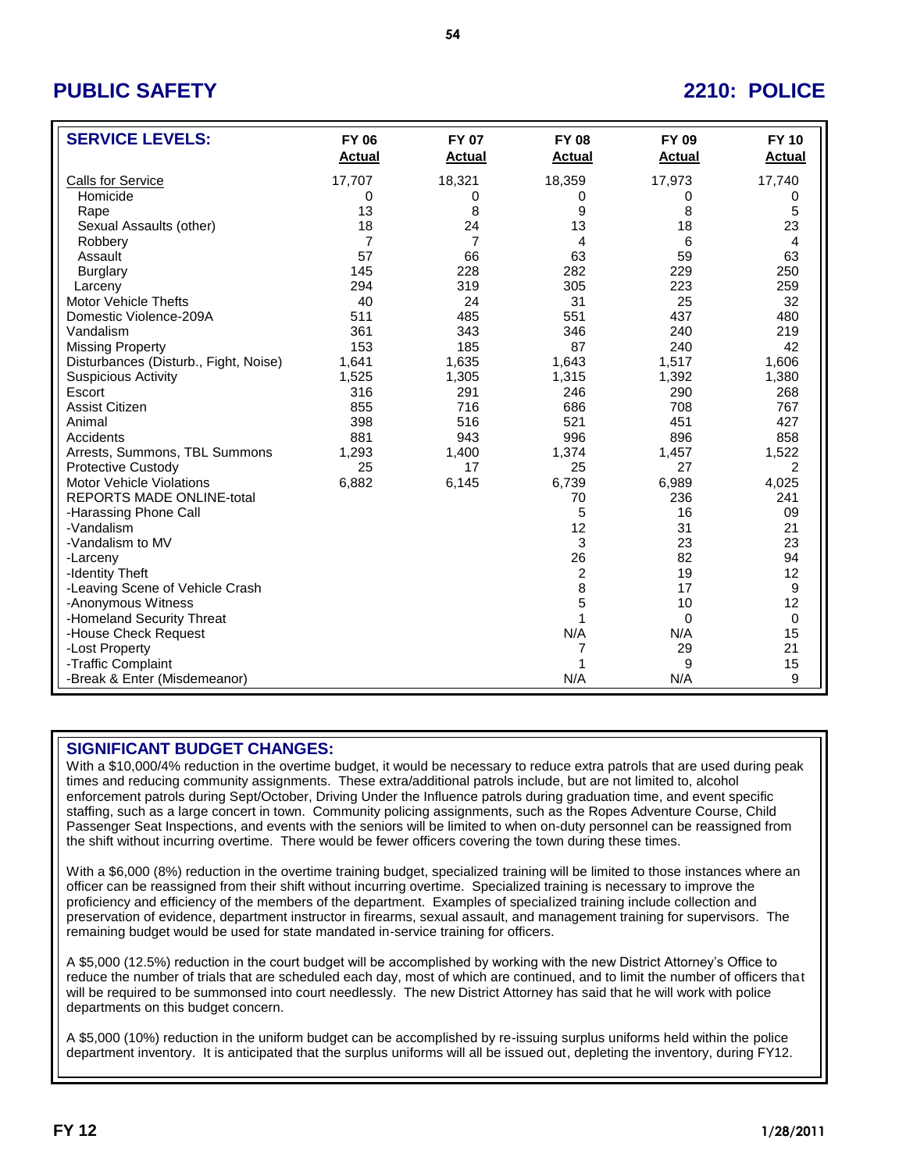# **PUBLIC SAFETY 2210: POLICE**

| <b>SERVICE LEVELS:</b>                | <b>FY 06</b>   | <b>FY 07</b>  | <b>FY 08</b> | FY 09         | <b>FY 10</b>   |
|---------------------------------------|----------------|---------------|--------------|---------------|----------------|
|                                       | <b>Actual</b>  | <b>Actual</b> | Actual       | <b>Actual</b> | <b>Actual</b>  |
| <b>Calls for Service</b>              | 17,707         | 18,321        | 18,359       | 17,973        | 17,740         |
| Homicide                              | 0              | 0             | 0            | 0             | 0              |
| Rape                                  | 13             | 8             | 9            | 8             | 5              |
| Sexual Assaults (other)               | 18             | 24            | 13           | 18            | 23             |
| Robbery                               | $\overline{7}$ | 7             | 4            | 6             | 4              |
| Assault                               | 57             | 66            | 63           | 59            | 63             |
| <b>Burglary</b>                       | 145            | 228           | 282          | 229           | 250            |
| Larceny                               | 294            | 319           | 305          | 223           | 259            |
| <b>Motor Vehicle Thefts</b>           | 40             | 24            | 31           | 25            | 32             |
| Domestic Violence-209A                | 511            | 485           | 551          | 437           | 480            |
| Vandalism                             | 361            | 343           | 346          | 240           | 219            |
| <b>Missing Property</b>               | 153            | 185           | 87           | 240           | 42             |
| Disturbances (Disturb., Fight, Noise) | 1,641          | 1,635         | 1,643        | 1,517         | 1,606          |
| <b>Suspicious Activity</b>            | 1,525          | 1,305         | 1,315        | 1,392         | 1,380          |
| Escort                                | 316            | 291           | 246          | 290           | 268            |
| Assist Citizen                        | 855            | 716           | 686          | 708           | 767            |
| Animal                                | 398            | 516           | 521          | 451           | 427            |
| Accidents                             | 881            | 943           | 996          | 896           | 858            |
| Arrests, Summons, TBL Summons         | 1,293          | 1,400         | 1,374        | 1,457         | 1,522          |
| <b>Protective Custody</b>             | 25             | 17            | 25           | 27            | $\overline{2}$ |
| <b>Motor Vehicle Violations</b>       | 6,882          | 6,145         | 6,739        | 6,989         | 4,025          |
| <b>REPORTS MADE ONLINE-total</b>      |                |               | 70           | 236           | 241            |
| -Harassing Phone Call                 |                |               | 5            | 16            | 09             |
| -Vandalism                            |                |               | 12           | 31            | 21             |
| -Vandalism to MV                      |                |               | 3            | 23            | 23             |
| -Larceny                              |                |               | 26           | 82            | 94             |
| -Identity Theft                       |                |               | 2            | 19            | 12             |
| -Leaving Scene of Vehicle Crash       |                |               | 8            | 17            | 9              |
| -Anonymous Witness                    |                |               | 5            | 10            | 12             |
| -Homeland Security Threat             |                |               | 1            | $\Omega$      | 0              |
| -House Check Request                  |                |               | N/A          | N/A           | 15             |
| -Lost Property                        |                |               | 7            | 29            | 21             |
| -Traffic Complaint                    |                |               |              | 9             | 15             |
| -Break & Enter (Misdemeanor)          |                |               | N/A          | N/A           | 9              |

### **SIGNIFICANT BUDGET CHANGES:**

With a \$10,000/4% reduction in the overtime budget, it would be necessary to reduce extra patrols that are used during peak times and reducing community assignments. These extra/additional patrols include, but are not limited to, alcohol enforcement patrols during Sept/October, Driving Under the Influence patrols during graduation time, and event specific staffing, such as a large concert in town. Community policing assignments, such as the Ropes Adventure Course, Child Passenger Seat Inspections, and events with the seniors will be limited to when on-duty personnel can be reassigned from the shift without incurring overtime. There would be fewer officers covering the town during these times.

With a \$6,000 (8%) reduction in the overtime training budget, specialized training will be limited to those instances where an officer can be reassigned from their shift without incurring overtime. Specialized training is necessary to improve the proficiency and efficiency of the members of the department. Examples of specialized training include collection and preservation of evidence, department instructor in firearms, sexual assault, and management training for supervisors. The remaining budget would be used for state mandated in-service training for officers.

A \$5,000 (12.5%) reduction in the court budget will be accomplished by working with the new District Attorney's Office to reduce the number of trials that are scheduled each day, most of which are continued, and to limit the number of officers that will be required to be summonsed into court needlessly. The new District Attorney has said that he will work with police departments on this budget concern.

A \$5,000 (10%) reduction in the uniform budget can be accomplished by re-issuing surplus uniforms held within the police department inventory. It is anticipated that the surplus uniforms will all be issued out, depleting the inventory, during FY12.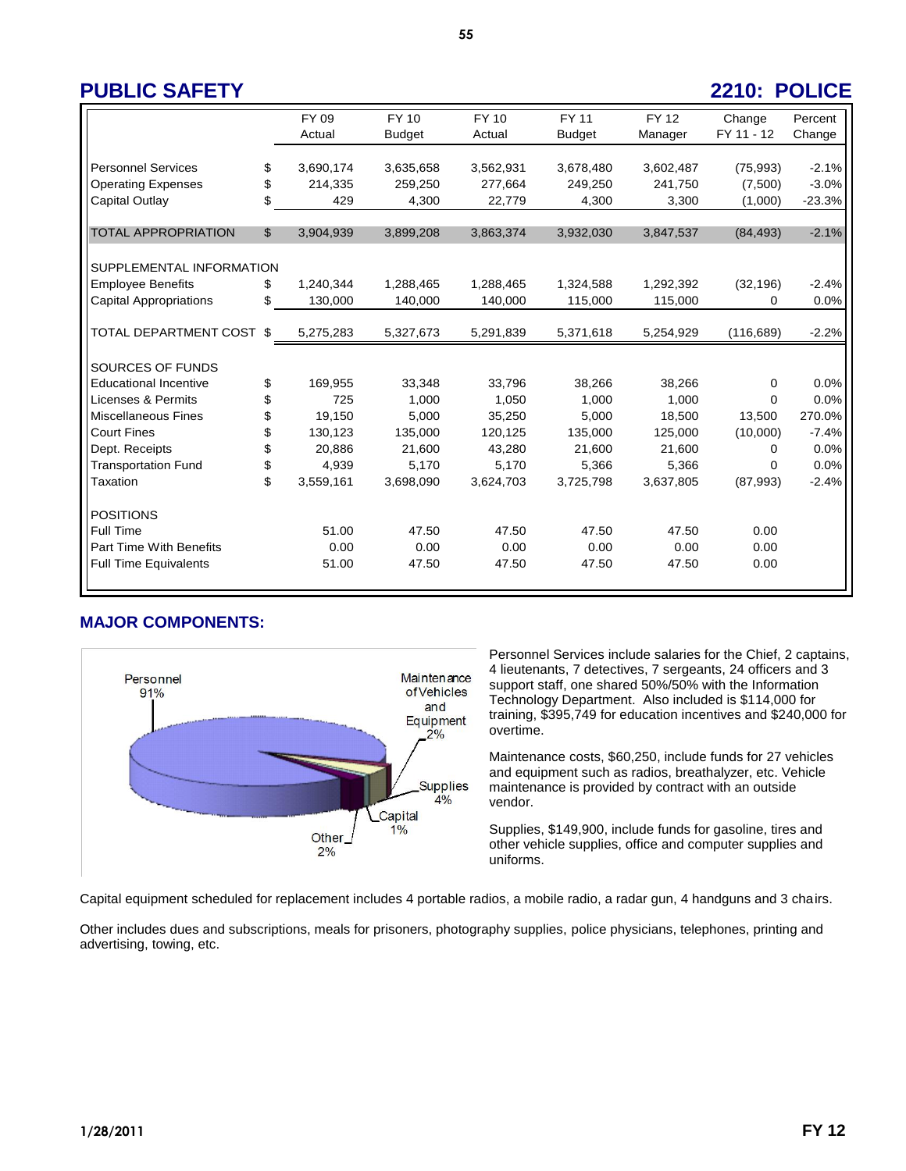### **55**

## **PUBLIC SAFETY 2210: POLICE**

|                                |    | FY 09     | <b>FY 10</b>  | <b>FY 10</b> | FY 11         | <b>FY 12</b> | Change     | Percent  |  |
|--------------------------------|----|-----------|---------------|--------------|---------------|--------------|------------|----------|--|
|                                |    | Actual    | <b>Budget</b> | Actual       | <b>Budget</b> | Manager      | FY 11 - 12 | Change   |  |
|                                |    |           |               |              |               |              |            |          |  |
| <b>Personnel Services</b>      | \$ | 3,690,174 | 3,635,658     | 3,562,931    | 3,678,480     | 3,602,487    | (75,993)   | $-2.1%$  |  |
| <b>Operating Expenses</b>      | \$ | 214,335   | 259,250       | 277,664      | 249,250       | 241,750      | (7,500)    | $-3.0%$  |  |
| Capital Outlay                 | \$ | 429       | 4,300         | 22,779       | 4,300         | 3,300        | (1,000)    | $-23.3%$ |  |
| <b>TOTAL APPROPRIATION</b>     | \$ | 3,904,939 | 3,899,208     | 3,863,374    | 3,932,030     | 3,847,537    | (84, 493)  | $-2.1%$  |  |
| SUPPLEMENTAL INFORMATION       |    |           |               |              |               |              |            |          |  |
| <b>Employee Benefits</b>       | \$ | 1,240,344 | 1,288,465     | 1,288,465    | 1,324,588     | 1,292,392    | (32, 196)  | $-2.4%$  |  |
| <b>Capital Appropriations</b>  | \$ | 130,000   | 140,000       | 140,000      | 115,000       | 115,000      | 0          | 0.0%     |  |
| TOTAL DEPARTMENT COST          | \$ | 5,275,283 | 5,327,673     | 5,291,839    | 5,371,618     | 5,254,929    | (116, 689) | $-2.2%$  |  |
|                                |    |           |               |              |               |              |            |          |  |
| SOURCES OF FUNDS               |    |           |               |              |               |              |            |          |  |
| <b>Educational Incentive</b>   | \$ | 169,955   | 33,348        | 33,796       | 38,266        | 38,266       | 0          | 0.0%     |  |
| Licenses & Permits             | \$ | 725       | 1,000         | 1,050        | 1,000         | 1,000        | $\Omega$   | 0.0%     |  |
| <b>Miscellaneous Fines</b>     | \$ | 19,150    | 5,000         | 35,250       | 5,000         | 18,500       | 13,500     | 270.0%   |  |
| <b>Court Fines</b>             | \$ | 130,123   | 135,000       | 120,125      | 135,000       | 125,000      | (10,000)   | $-7.4%$  |  |
| Dept. Receipts                 | \$ | 20,886    | 21,600        | 43,280       | 21,600        | 21,600       | $\Omega$   | 0.0%     |  |
| <b>Transportation Fund</b>     | \$ | 4.939     | 5.170         | 5.170        | 5.366         | 5.366        | $\Omega$   | 0.0%     |  |
| Taxation                       | \$ | 3,559,161 | 3,698,090     | 3,624,703    | 3,725,798     | 3,637,805    | (87,993)   | $-2.4%$  |  |
| <b>POSITIONS</b>               |    |           |               |              |               |              |            |          |  |
| <b>Full Time</b>               |    | 51.00     | 47.50         | 47.50        | 47.50         | 47.50        | 0.00       |          |  |
| <b>Part Time With Benefits</b> |    | 0.00      | 0.00          | 0.00         | 0.00          | 0.00         | 0.00       |          |  |
| <b>Full Time Equivalents</b>   |    | 51.00     | 47.50         | 47.50        | 47.50         | 47.50        | 0.00       |          |  |

## **MAJOR COMPONENTS:**



Personnel Services include salaries for the Chief, 2 captains, 4 lieutenants, 7 detectives, 7 sergeants, 24 officers and 3 support staff, one shared 50%/50% with the Information Technology Department. Also included is \$114,000 for training, \$395,749 for education incentives and \$240,000 for overtime.

Maintenance costs, \$60,250, include funds for 27 vehicles and equipment such as radios, breathalyzer, etc. Vehicle maintenance is provided by contract with an outside vendor.

Supplies, \$149,900, include funds for gasoline, tires and other vehicle supplies, office and computer supplies and uniforms.

Capital equipment scheduled for replacement includes 4 portable radios, a mobile radio, a radar gun, 4 handguns and 3 chairs.

Other includes dues and subscriptions, meals for prisoners, photography supplies, police physicians, telephones, printing and advertising, towing, etc.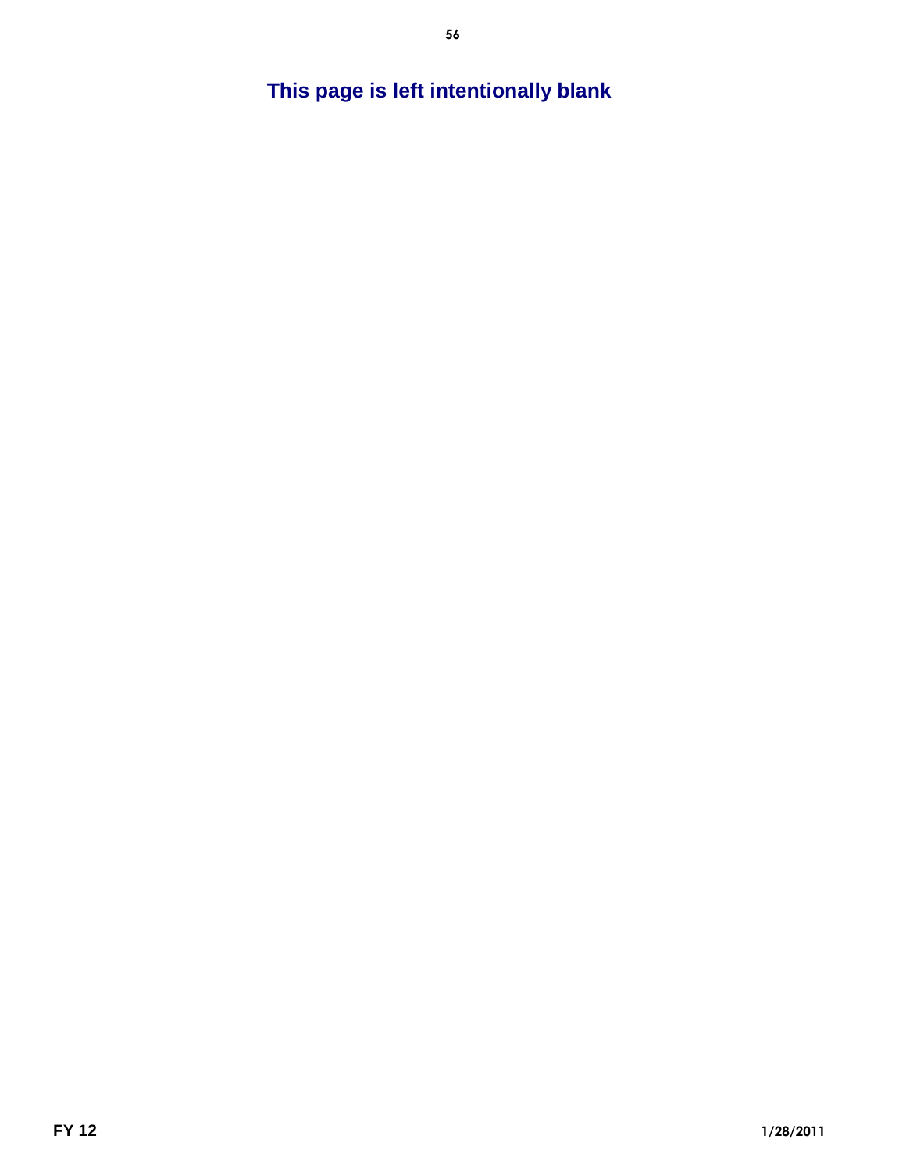# **This page is left intentionally blank**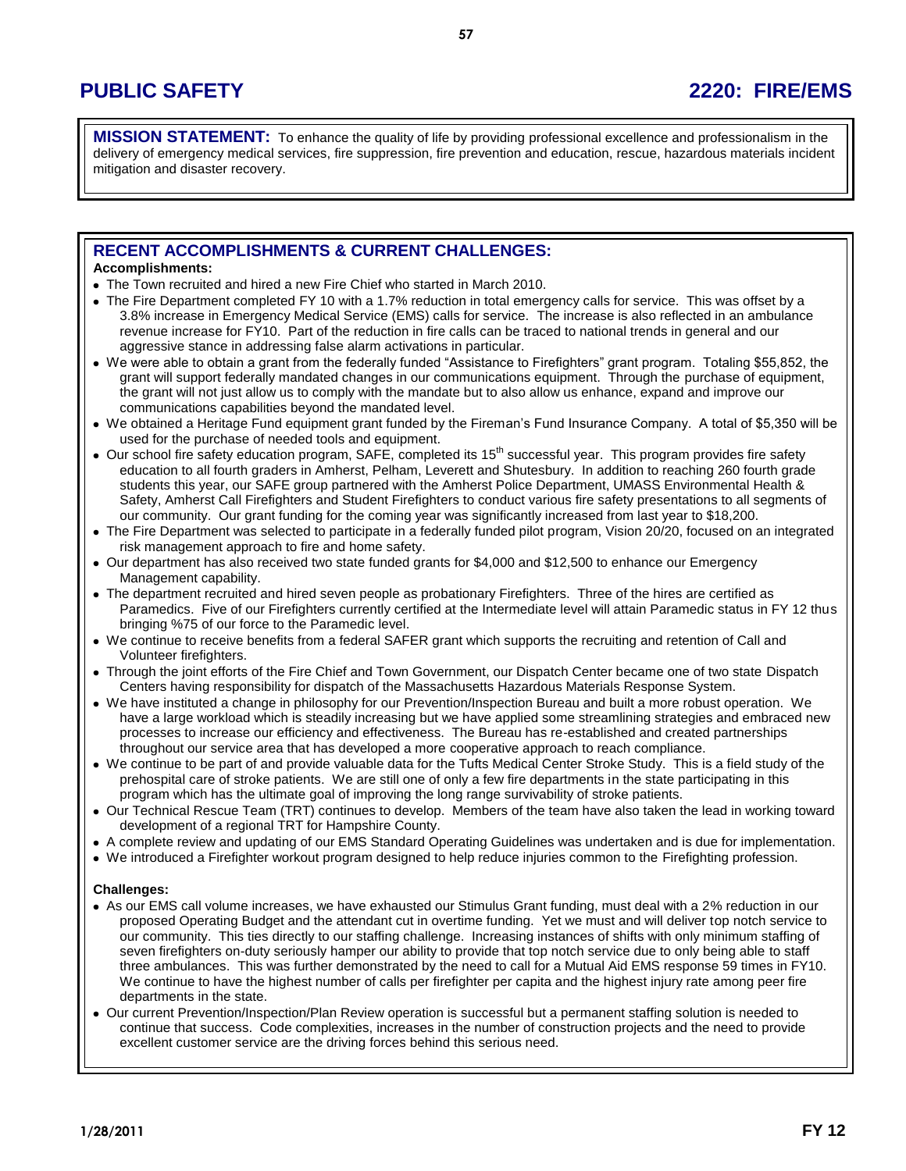**MISSION STATEMENT:** To enhance the quality of life by providing professional excellence and professionalism in the delivery of emergency medical services, fire suppression, fire prevention and education, rescue, hazardous materials incident mitigation and disaster recovery.

# **RECENT ACCOMPLISHMENTS & CURRENT CHALLENGES:**

## **Accomplishments:**

- The Town recruited and hired a new Fire Chief who started in March 2010.
- The Fire Department completed FY 10 with a 1.7% reduction in total emergency calls for service. This was offset by a 3.8% increase in Emergency Medical Service (EMS) calls for service. The increase is also reflected in an ambulance revenue increase for FY10. Part of the reduction in fire calls can be traced to national trends in general and our aggressive stance in addressing false alarm activations in particular.
- We were able to obtain a grant from the federally funded "Assistance to Firefighters" grant program. Totaling \$55,852, the grant will support federally mandated changes in our communications equipment. Through the purchase of equipment, the grant will not just allow us to comply with the mandate but to also allow us enhance, expand and improve our communications capabilities beyond the mandated level.
- We obtained a Heritage Fund equipment grant funded by the Fireman's Fund Insurance Company. A total of \$5,350 will be used for the purchase of needed tools and equipment.
- Our school fire safety education program, SAFE, completed its 15<sup>th</sup> successful year. This program provides fire safety education to all fourth graders in Amherst, Pelham, Leverett and Shutesbury. In addition to reaching 260 fourth grade students this year, our SAFE group partnered with the Amherst Police Department, UMASS Environmental Health & Safety, Amherst Call Firefighters and Student Firefighters to conduct various fire safety presentations to all segments of our community. Our grant funding for the coming year was significantly increased from last year to \$18,200.
- The Fire Department was selected to participate in a federally funded pilot program, Vision 20/20, focused on an integrated risk management approach to fire and home safety.
- Our department has also received two state funded grants for \$4,000 and \$12,500 to enhance our Emergency Management capability.
- The department recruited and hired seven people as probationary Firefighters. Three of the hires are certified as Paramedics. Five of our Firefighters currently certified at the Intermediate level will attain Paramedic status in FY 12 thus bringing %75 of our force to the Paramedic level.
- We continue to receive benefits from a federal SAFER grant which supports the recruiting and retention of Call and Volunteer firefighters.
- Through the joint efforts of the Fire Chief and Town Government, our Dispatch Center became one of two state Dispatch Centers having responsibility for dispatch of the Massachusetts Hazardous Materials Response System.
- We have instituted a change in philosophy for our Prevention/Inspection Bureau and built a more robust operation. We have a large workload which is steadily increasing but we have applied some streamlining strategies and embraced new processes to increase our efficiency and effectiveness. The Bureau has re-established and created partnerships throughout our service area that has developed a more cooperative approach to reach compliance.
- We continue to be part of and provide valuable data for the Tufts Medical Center Stroke Study. This is a field study of the prehospital care of stroke patients. We are still one of only a few fire departments in the state participating in this program which has the ultimate goal of improving the long range survivability of stroke patients.
- Our Technical Rescue Team (TRT) continues to develop. Members of the team have also taken the lead in working toward development of a regional TRT for Hampshire County.
- A complete review and updating of our EMS Standard Operating Guidelines was undertaken and is due for implementation.
- We introduced a Firefighter workout program designed to help reduce injuries common to the Firefighting profession.

### **Challenges:**

- As our EMS call volume increases, we have exhausted our Stimulus Grant funding, must deal with a 2% reduction in our proposed Operating Budget and the attendant cut in overtime funding. Yet we must and will deliver top notch service to our community. This ties directly to our staffing challenge. Increasing instances of shifts with only minimum staffing of seven firefighters on-duty seriously hamper our ability to provide that top notch service due to only being able to staff three ambulances. This was further demonstrated by the need to call for a Mutual Aid EMS response 59 times in FY10. We continue to have the highest number of calls per firefighter per capita and the highest injury rate among peer fire departments in the state.
- Our current Prevention/Inspection/Plan Review operation is successful but a permanent staffing solution is needed to continue that success. Code complexities, increases in the number of construction projects and the need to provide excellent customer service are the driving forces behind this serious need.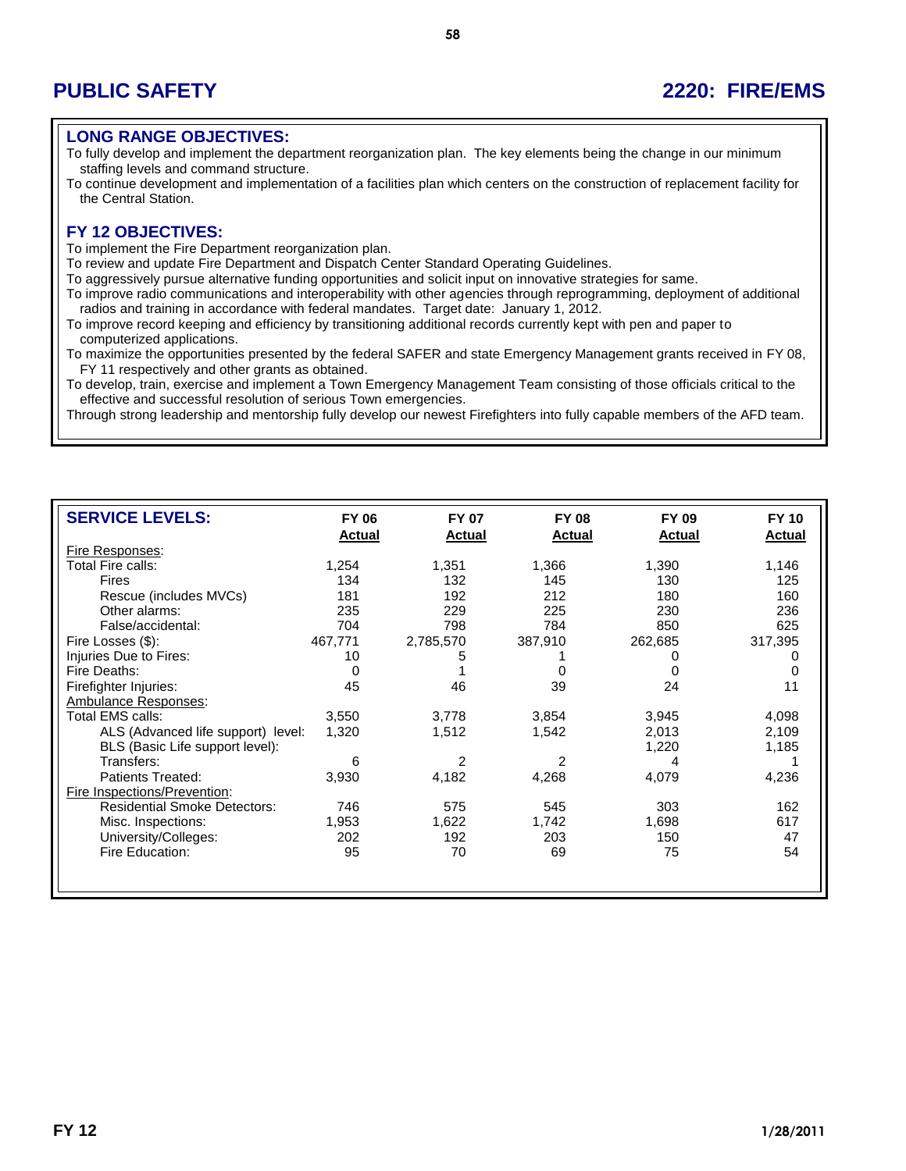## **LONG RANGE OBJECTIVES:**

To fully develop and implement the department reorganization plan. The key elements being the change in our minimum staffing levels and command structure.

To continue development and implementation of a facilities plan which centers on the construction of replacement facility for the Central Station.

## **FY 12 OBJECTIVES:**

To implement the Fire Department reorganization plan.

To review and update Fire Department and Dispatch Center Standard Operating Guidelines.

To aggressively pursue alternative funding opportunities and solicit input on innovative strategies for same.

To improve radio communications and interoperability with other agencies through reprogramming, deployment of additional radios and training in accordance with federal mandates. Target date: January 1, 2012.

To improve record keeping and efficiency by transitioning additional records currently kept with pen and paper to computerized applications.

To maximize the opportunities presented by the federal SAFER and state Emergency Management grants received in FY 08, FY 11 respectively and other grants as obtained.

To develop, train, exercise and implement a Town Emergency Management Team consisting of those officials critical to the effective and successful resolution of serious Town emergencies.

Through strong leadership and mentorship fully develop our newest Firefighters into fully capable members of the AFD team.

| <b>SERVICE LEVELS:</b>              | <b>FY 06</b><br><b>Actual</b> | <b>FY 07</b><br><b>Actual</b> | <b>FY 08</b><br><b>Actual</b> | FY 09<br><b>Actual</b> | <b>FY 10</b><br><b>Actual</b> |
|-------------------------------------|-------------------------------|-------------------------------|-------------------------------|------------------------|-------------------------------|
| Fire Responses:                     |                               |                               |                               |                        |                               |
| Total Fire calls:                   | 1,254                         | 1,351                         | 1,366                         | 1,390                  | 1,146                         |
| <b>Fires</b>                        | 134                           | 132                           | 145                           | 130                    | 125                           |
| Rescue (includes MVCs)              | 181                           | 192                           | 212                           | 180                    | 160                           |
| Other alarms:                       | 235                           | 229                           | 225                           | 230                    | 236                           |
| False/accidental:                   | 704                           | 798                           | 784                           | 850                    | 625                           |
| Fire Losses (\$):                   | 467,771                       | 2,785,570                     | 387,910                       | 262,685                | 317,395                       |
| Injuries Due to Fires:              | 10                            | 5                             |                               | 0                      | 0                             |
| Fire Deaths:                        | 0                             |                               | 0                             | 0                      | 0                             |
| Firefighter Injuries:               | 45                            | 46                            | 39                            | 24                     | 11                            |
| Ambulance Responses:                |                               |                               |                               |                        |                               |
| Total EMS calls:                    | 3,550                         | 3,778                         | 3,854                         | 3,945                  | 4,098                         |
| ALS (Advanced life support) level:  | 1,320                         | 1,512                         | 1,542                         | 2,013                  | 2,109                         |
| BLS (Basic Life support level):     |                               |                               |                               | 1,220                  | 1,185                         |
| Transfers:                          | 6                             | 2                             | 2                             | 4                      |                               |
| Patients Treated:                   | 3,930                         | 4,182                         | 4,268                         | 4,079                  | 4,236                         |
| Fire Inspections/Prevention:        |                               |                               |                               |                        |                               |
| <b>Residential Smoke Detectors:</b> | 746                           | 575                           | 545                           | 303                    | 162                           |
| Misc. Inspections:                  | 1,953                         | 1,622                         | 1,742                         | 1,698                  | 617                           |
| University/Colleges:                | 202                           | 192                           | 203                           | 150                    | 47                            |
| Fire Education:                     | 95                            | 70                            | 69                            | 75                     | 54                            |
|                                     |                               |                               |                               |                        |                               |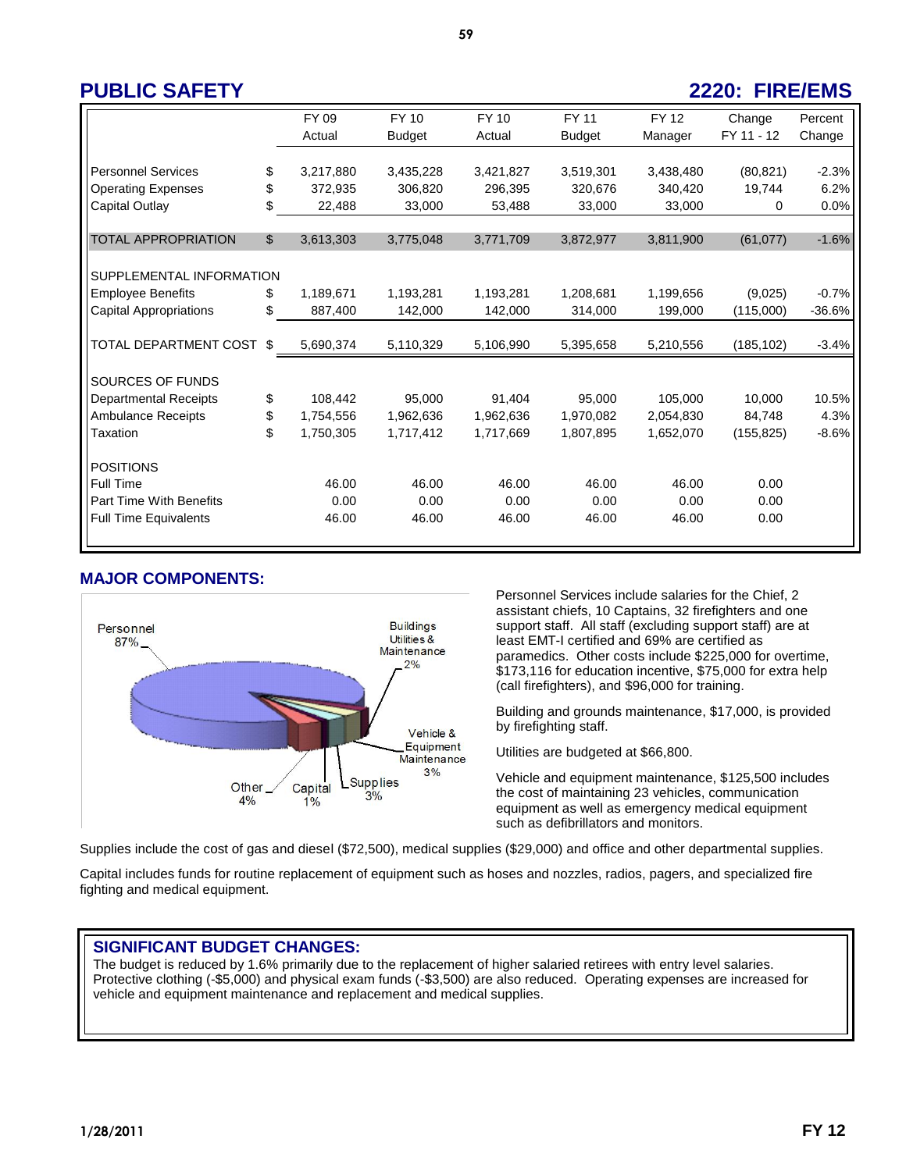### **59**

## **PUBLIC SAFETY 2220: FIRE/EMS**

|                                | FY 09           | <b>FY 10</b>  | <b>FY 10</b> | <b>FY 11</b>  | <b>FY 12</b> | Change     | Percent  |
|--------------------------------|-----------------|---------------|--------------|---------------|--------------|------------|----------|
|                                | Actual          | <b>Budget</b> | Actual       | <b>Budget</b> | Manager      | FY 11 - 12 | Change   |
|                                |                 |               |              |               |              |            |          |
| <b>Personnel Services</b>      | \$<br>3,217,880 | 3,435,228     | 3,421,827    | 3,519,301     | 3,438,480    | (80, 821)  | $-2.3%$  |
| <b>Operating Expenses</b>      | \$<br>372,935   | 306,820       | 296,395      | 320,676       | 340,420      | 19,744     | 6.2%     |
| Capital Outlay                 | \$<br>22,488    | 33,000        | 53,488       | 33,000        | 33,000       | 0          | 0.0%     |
|                                |                 |               |              |               |              |            |          |
| <b>TOTAL APPROPRIATION</b>     | \$<br>3,613,303 | 3,775,048     | 3,771,709    | 3,872,977     | 3,811,900    | (61,077)   | $-1.6%$  |
|                                |                 |               |              |               |              |            |          |
| SUPPLEMENTAL INFORMATION       |                 |               |              |               |              |            |          |
| <b>Employee Benefits</b>       | \$<br>1,189,671 | 1,193,281     | 1,193,281    | 1,208,681     | 1,199,656    | (9,025)    | $-0.7%$  |
| Capital Appropriations         | \$<br>887,400   | 142,000       | 142,000      | 314,000       | 199,000      | (115,000)  | $-36.6%$ |
|                                |                 |               |              |               |              |            |          |
| TOTAL DEPARTMENT COST          | \$<br>5,690,374 | 5,110,329     | 5,106,990    | 5,395,658     | 5,210,556    | (185, 102) | $-3.4%$  |
| SOURCES OF FUNDS               |                 |               |              |               |              |            |          |
| <b>Departmental Receipts</b>   | \$<br>108,442   | 95,000        | 91,404       | 95,000        | 105,000      | 10,000     | 10.5%    |
| <b>Ambulance Receipts</b>      | \$<br>1,754,556 | 1,962,636     | 1,962,636    | 1,970,082     | 2,054,830    | 84,748     | 4.3%     |
| Taxation                       | \$<br>1,750,305 | 1.717.412     | 1.717.669    | 1.807.895     | 1.652.070    | (155, 825) | $-8.6%$  |
| <b>POSITIONS</b>               |                 |               |              |               |              |            |          |
| Full Time                      | 46.00           | 46.00         | 46.00        | 46.00         | 46.00        | 0.00       |          |
| <b>Part Time With Benefits</b> | 0.00            | 0.00          | 0.00         | 0.00          | 0.00         | 0.00       |          |
| <b>Full Time Equivalents</b>   | 46.00           | 46.00         | 46.00        | 46.00         | 46.00        | 0.00       |          |
|                                |                 |               |              |               |              |            |          |

## **MAJOR COMPONENTS:**



Personnel Services include salaries for the Chief, 2 assistant chiefs, 10 Captains, 32 firefighters and one support staff. All staff (excluding support staff) are at least EMT-I certified and 69% are certified as paramedics. Other costs include \$225,000 for overtime, \$173,116 for education incentive, \$75,000 for extra help (call firefighters), and \$96,000 for training.

Building and grounds maintenance, \$17,000, is provided by firefighting staff.

Utilities are budgeted at \$66,800.

Vehicle and equipment maintenance, \$125,500 includes the cost of maintaining 23 vehicles, communication equipment as well as emergency medical equipment such as defibrillators and monitors.

Supplies include the cost of gas and diesel (\$72,500), medical supplies (\$29,000) and office and other departmental supplies.

Capital includes funds for routine replacement of equipment such as hoses and nozzles, radios, pagers, and specialized fire fighting and medical equipment.

### **SIGNIFICANT BUDGET CHANGES:**

The budget is reduced by 1.6% primarily due to the replacement of higher salaried retirees with entry level salaries. Protective clothing (-\$5,000) and physical exam funds (-\$3,500) are also reduced. Operating expenses are increased for vehicle and equipment maintenance and replacement and medical supplies.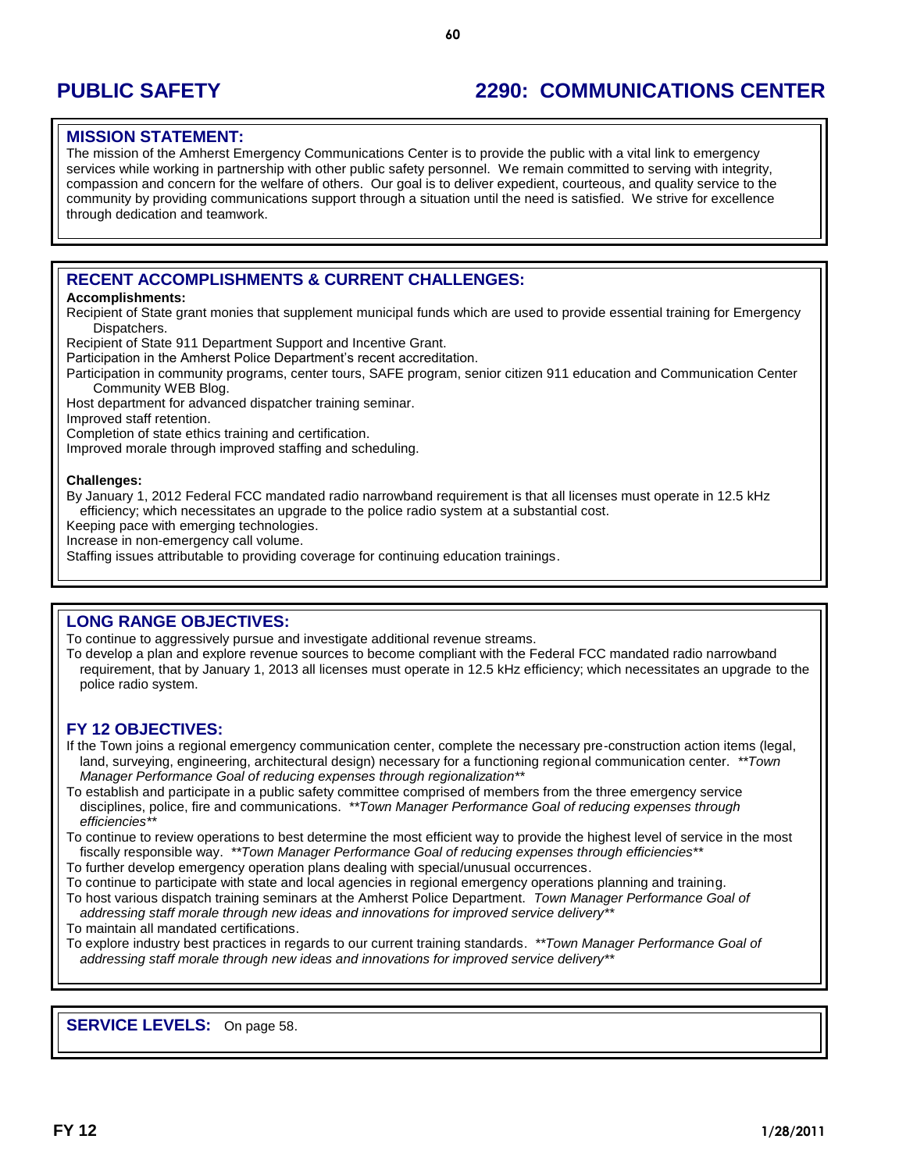# **PUBLIC SAFETY 2290: COMMUNICATIONS CENTER**

### **MISSION STATEMENT:**

The mission of the Amherst Emergency Communications Center is to provide the public with a vital link to emergency services while working in partnership with other public safety personnel. We remain committed to serving with integrity, compassion and concern for the welfare of others. Our goal is to deliver expedient, courteous, and quality service to the community by providing communications support through a situation until the need is satisfied. We strive for excellence through dedication and teamwork.

### **RECENT ACCOMPLISHMENTS & CURRENT CHALLENGES:**

### **Accomplishments:**

Recipient of State grant monies that supplement municipal funds which are used to provide essential training for Emergency Dispatchers.

Recipient of State 911 Department Support and Incentive Grant.

Participation in the Amherst Police Department's recent accreditation.

Participation in community programs, center tours, SAFE program, senior citizen 911 education and Communication Center Community WEB Blog.

Host department for advanced dispatcher training seminar.

Improved staff retention.

Completion of state ethics training and certification.

Improved morale through improved staffing and scheduling.

### **Challenges:**

By January 1, 2012 Federal FCC mandated radio narrowband requirement is that all licenses must operate in 12.5 kHz efficiency; which necessitates an upgrade to the police radio system at a substantial cost.

Keeping pace with emerging technologies.

Increase in non-emergency call volume.

Staffing issues attributable to providing coverage for continuing education trainings.

### **LONG RANGE OBJECTIVES:**

To continue to aggressively pursue and investigate additional revenue streams.

To develop a plan and explore revenue sources to become compliant with the Federal FCC mandated radio narrowband requirement, that by January 1, 2013 all licenses must operate in 12.5 kHz efficiency; which necessitates an upgrade to the police radio system.

### **FY 12 OBJECTIVES:**

- If the Town joins a regional emergency communication center, complete the necessary pre-construction action items (legal, land, surveying, engineering, architectural design) necessary for a functioning regional communication center. *\*\*Town Manager Performance Goal of reducing expenses through regionalization\*\**
- To establish and participate in a public safety committee comprised of members from the three emergency service disciplines, police, fire and communications. *\*\*Town Manager Performance Goal of reducing expenses through efficiencies\*\**
- To continue to review operations to best determine the most efficient way to provide the highest level of service in the most fiscally responsible way. *\*\*Town Manager Performance Goal of reducing expenses through efficiencies\*\**
- To further develop emergency operation plans dealing with special/unusual occurrences.
- To continue to participate with state and local agencies in regional emergency operations planning and training.
- To host various dispatch training seminars at the Amherst Police Department. *Town Manager Performance Goal of addressing staff morale through new ideas and innovations for improved service delivery\*\**

To maintain all mandated certifications.

To explore industry best practices in regards to our current training standards. *\*\*Town Manager Performance Goal of addressing staff morale through new ideas and innovations for improved service delivery\*\**

## **SERVICE LEVELS:** On page 58.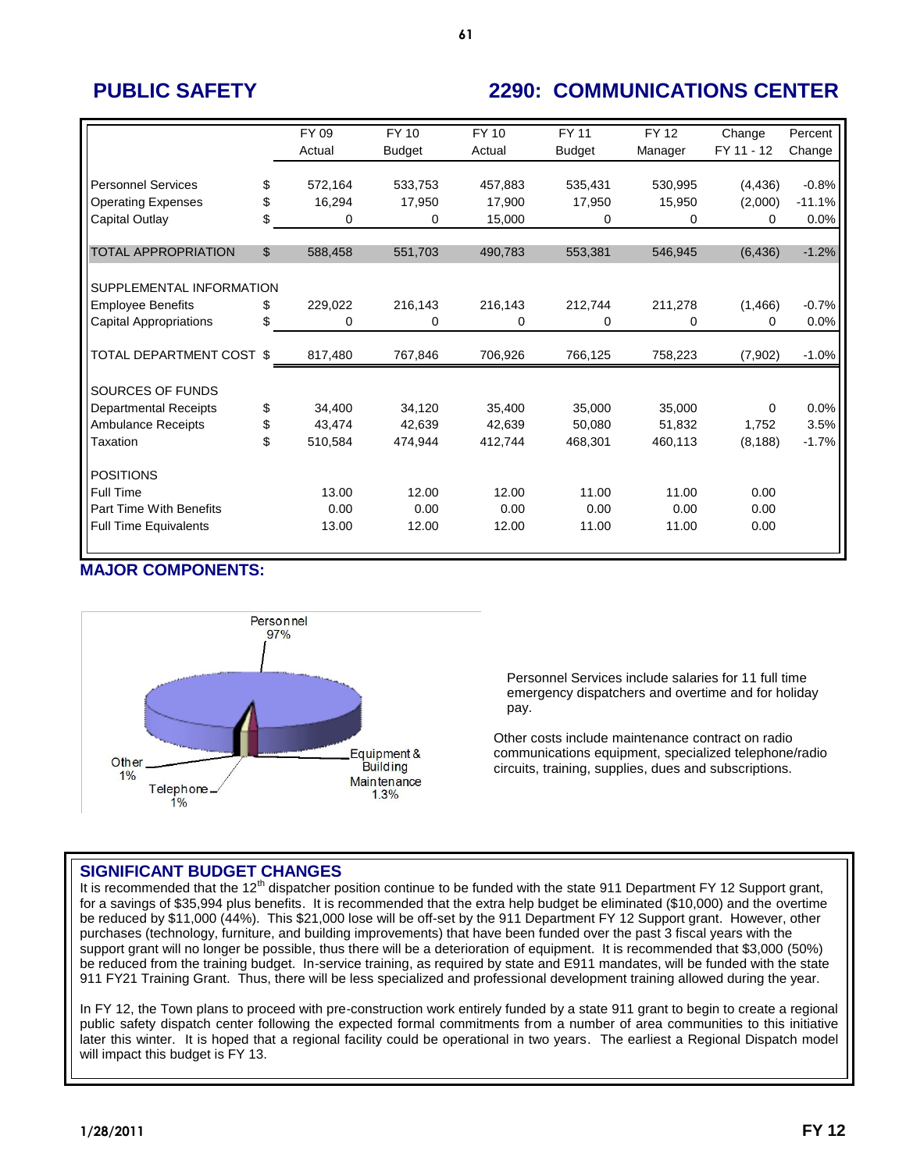# **PUBLIC SAFETY 2290: COMMUNICATIONS CENTER**

|                               | FY 09<br>Actual | FY 10<br><b>Budget</b> | FY 10<br>Actual | <b>FY 11</b><br><b>Budget</b> | <b>FY 12</b><br>Manager | Change<br>FY 11 - 12 | Percent<br>Change |
|-------------------------------|-----------------|------------------------|-----------------|-------------------------------|-------------------------|----------------------|-------------------|
|                               |                 |                        |                 |                               |                         |                      |                   |
| <b>Personnel Services</b>     | \$<br>572,164   | 533,753                | 457,883         | 535,431                       | 530,995                 | (4, 436)             | $-0.8%$           |
| <b>Operating Expenses</b>     | \$<br>16,294    | 17,950                 | 17,900          | 17,950                        | 15,950                  | (2,000)              | $-11.1%$          |
| <b>Capital Outlay</b>         | \$<br>0         | 0                      | 15,000          | 0                             | 0                       | 0                    | 0.0%              |
|                               |                 |                        |                 |                               |                         |                      |                   |
| <b>TOTAL APPROPRIATION</b>    | \$<br>588,458   | 551,703                | 490,783         | 553,381                       | 546,945                 | (6, 436)             | $-1.2%$           |
|                               |                 |                        |                 |                               |                         |                      |                   |
| SUPPLEMENTAL INFORMATION      |                 |                        |                 |                               |                         |                      |                   |
| <b>Employee Benefits</b>      | \$<br>229,022   | 216,143                | 216,143         | 212,744                       | 211,278                 | (1, 466)             | $-0.7%$           |
| <b>Capital Appropriations</b> | \$<br>0         | 0                      | 0               | 0                             | 0                       | $\Omega$             | 0.0%              |
|                               |                 |                        |                 |                               |                         |                      |                   |
| TOTAL DEPARTMENT COST \$      | 817,480         | 767,846                | 706,926         | 766,125                       | 758,223                 | (7,902)              | $-1.0%$           |
|                               |                 |                        |                 |                               |                         |                      |                   |
| SOURCES OF FUNDS              |                 |                        |                 |                               |                         |                      |                   |
| <b>Departmental Receipts</b>  | \$<br>34.400    | 34.120                 | 35,400          | 35,000                        | 35,000                  | 0                    | 0.0%              |
| <b>Ambulance Receipts</b>     | \$<br>43,474    | 42,639                 | 42,639          | 50.080                        | 51,832                  | 1,752                | 3.5%              |
| Taxation                      | \$<br>510,584   | 474,944                | 412,744         | 468,301                       | 460,113                 | (8, 188)             | $-1.7%$           |
|                               |                 |                        |                 |                               |                         |                      |                   |
| <b>POSITIONS</b>              |                 |                        |                 |                               |                         |                      |                   |
| Full Time                     | 13.00           | 12.00                  | 12.00           | 11.00                         | 11.00                   | 0.00                 |                   |
| Part Time With Benefits       | 0.00            | 0.00                   | 0.00            | 0.00                          | 0.00                    | 0.00                 |                   |
| <b>Full Time Equivalents</b>  | 13.00           | 12.00                  | 12.00           | 11.00                         | 11.00                   | 0.00                 |                   |
|                               |                 |                        |                 |                               |                         |                      |                   |

**61**

## **MAJOR COMPONENTS:**



Personnel Services include salaries for 11 full time emergency dispatchers and overtime and for holiday pay.

Other costs include maintenance contract on radio communications equipment, specialized telephone/radio circuits, training, supplies, dues and subscriptions.

### **SIGNIFICANT BUDGET CHANGES**

It is recommended that the  $12<sup>th</sup>$  dispatcher position continue to be funded with the state 911 Department FY 12 Support grant, for a savings of \$35,994 plus benefits. It is recommended that the extra help budget be eliminated (\$10,000) and the overtime be reduced by \$11,000 (44%). This \$21,000 lose will be off-set by the 911 Department FY 12 Support grant. However, other purchases (technology, furniture, and building improvements) that have been funded over the past 3 fiscal years with the support grant will no longer be possible, thus there will be a deterioration of equipment. It is recommended that \$3,000 (50%) be reduced from the training budget. In-service training, as required by state and E911 mandates, will be funded with the state 911 FY21 Training Grant. Thus, there will be less specialized and professional development training allowed during the year.

In FY 12, the Town plans to proceed with pre-construction work entirely funded by a state 911 grant to begin to create a regional public safety dispatch center following the expected formal commitments from a number of area communities to this initiative later this winter. It is hoped that a regional facility could be operational in two years. The earliest a Regional Dispatch model will impact this budget is FY 13.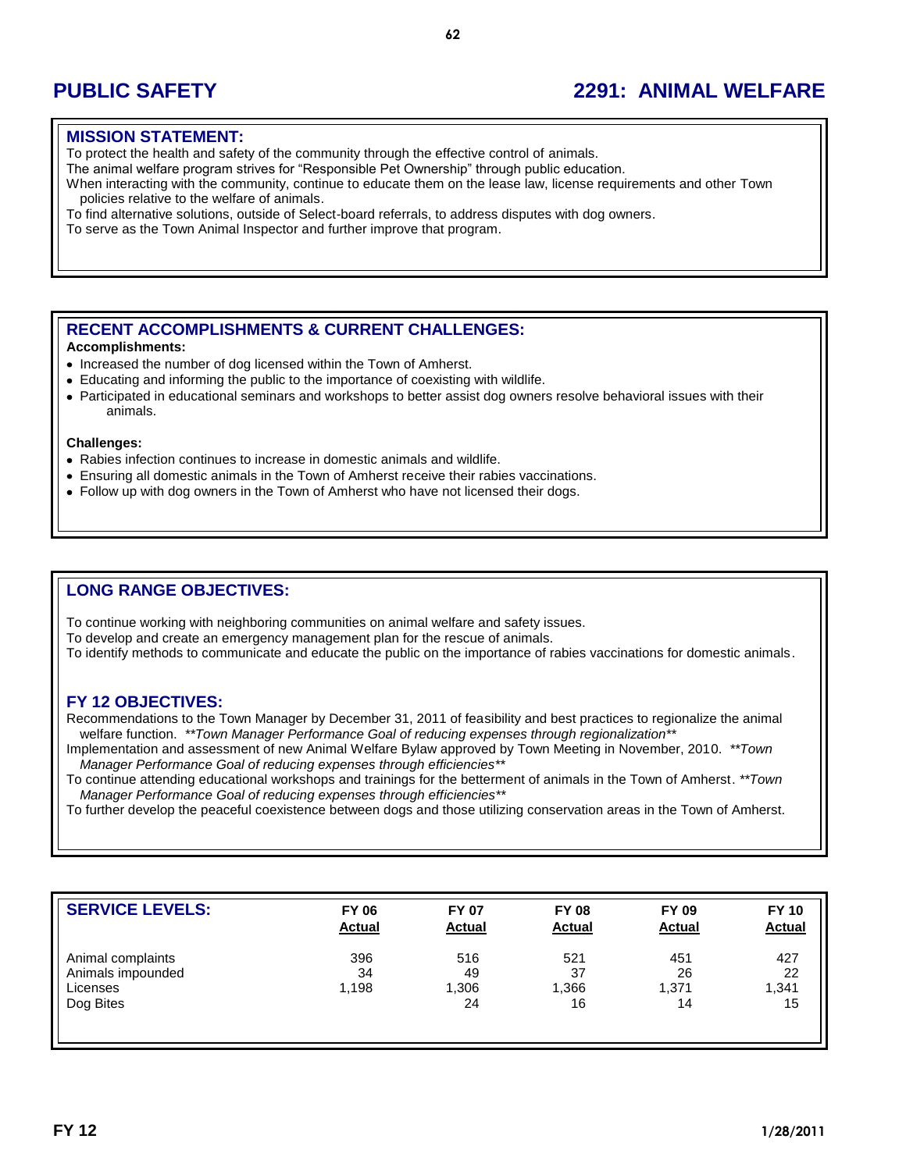# **PUBLIC SAFETY 2291: ANIMAL WELFARE**

### **MISSION STATEMENT:**

To protect the health and safety of the community through the effective control of animals.

The animal welfare program strives for "Responsible Pet Ownership" through public education.

When interacting with the community, continue to educate them on the lease law, license requirements and other Town policies relative to the welfare of animals.

To find alternative solutions, outside of Select-board referrals, to address disputes with dog owners.

To serve as the Town Animal Inspector and further improve that program.

## **RECENT ACCOMPLISHMENTS & CURRENT CHALLENGES:**

### **Accomplishments:**

- Increased the number of dog licensed within the Town of Amherst.
- Educating and informing the public to the importance of coexisting with wildlife.
- Participated in educational seminars and workshops to better assist dog owners resolve behavioral issues with their animals.

### **Challenges:**

- Rabies infection continues to increase in domestic animals and wildlife.
- Ensuring all domestic animals in the Town of Amherst receive their rabies vaccinations.
- Follow up with dog owners in the Town of Amherst who have not licensed their dogs.

### **LONG RANGE OBJECTIVES:**

To continue working with neighboring communities on animal welfare and safety issues.

To develop and create an emergency management plan for the rescue of animals.

To identify methods to communicate and educate the public on the importance of rabies vaccinations for domestic animals.

### **FY 12 OBJECTIVES:**

Recommendations to the Town Manager by December 31, 2011 of feasibility and best practices to regionalize the animal welfare function. *\*\*Town Manager Performance Goal of reducing expenses through regionalization\*\**

Implementation and assessment of new Animal Welfare Bylaw approved by Town Meeting in November, 2010. *\*\*Town Manager Performance Goal of reducing expenses through efficiencies\*\**

To continue attending educational workshops and trainings for the betterment of animals in the Town of Amherst. *\*\*Town Manager Performance Goal of reducing expenses through efficiencies\*\**

To further develop the peaceful coexistence between dogs and those utilizing conservation areas in the Town of Amherst.

| <b>SERVICE LEVELS:</b>                                          | <b>FY 06</b>       | <b>FY 07</b>             | <b>FY 08</b>             | <b>FY 09</b>             | <b>FY 10</b>             |
|-----------------------------------------------------------------|--------------------|--------------------------|--------------------------|--------------------------|--------------------------|
|                                                                 | <b>Actual</b>      | <b>Actual</b>            | <b>Actual</b>            | <b>Actual</b>            | <b>Actual</b>            |
| Animal complaints<br>Animals impounded<br>Licenses<br>Dog Bites | 396<br>34<br>1,198 | 516<br>49<br>1,306<br>24 | 521<br>37<br>1,366<br>16 | 451<br>26<br>1.371<br>14 | 427<br>22<br>1,341<br>15 |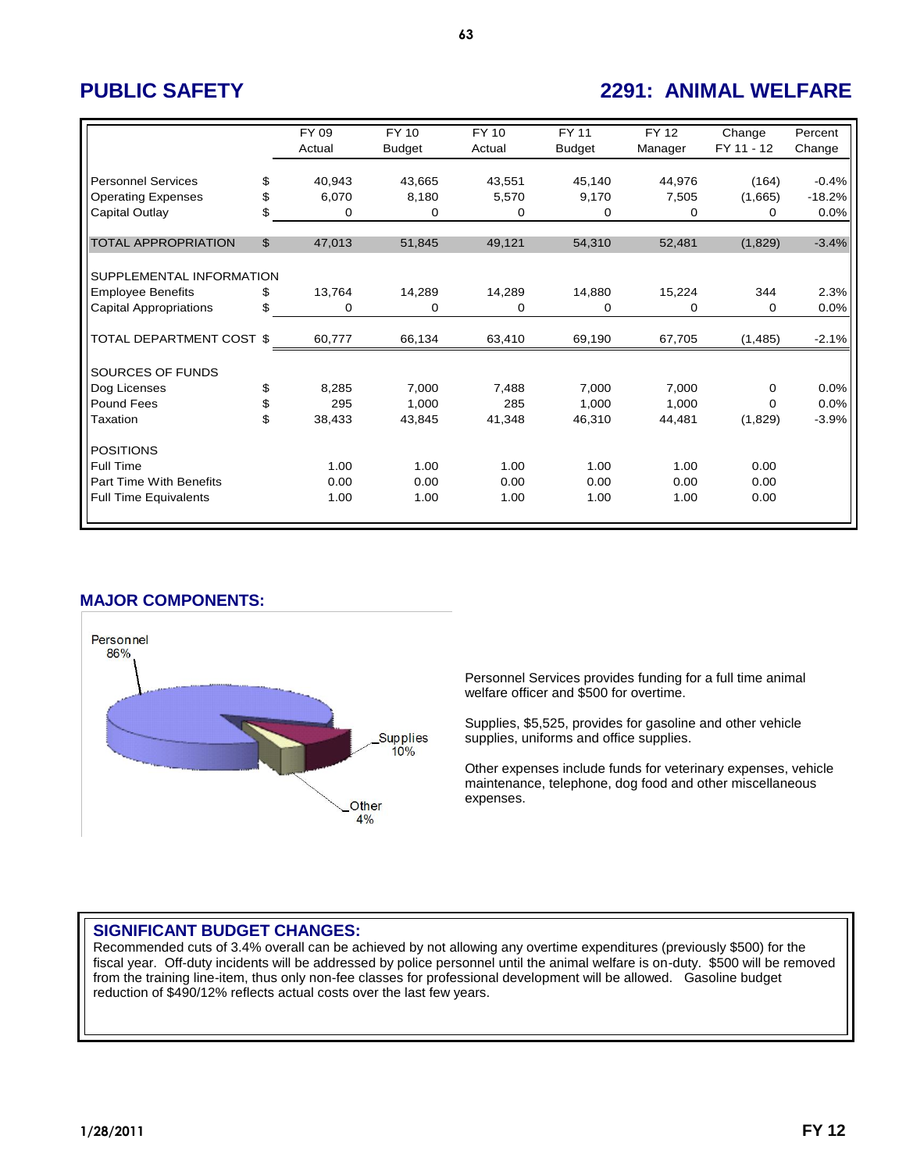## **PUBLIC SAFETY 2291: ANIMAL WELFARE**

|                                |                | FY 09<br>Actual | FY 10<br><b>Budget</b> | FY 10<br>Actual | <b>FY 11</b><br><b>Budget</b> | <b>FY 12</b><br>Manager | Change<br>FY 11 - 12 | Percent<br>Change |
|--------------------------------|----------------|-----------------|------------------------|-----------------|-------------------------------|-------------------------|----------------------|-------------------|
| <b>Personnel Services</b>      | \$             | 40,943          | 43,665                 | 43,551          | 45,140                        | 44,976                  | (164)                | $-0.4%$           |
| <b>Operating Expenses</b>      | \$             | 6.070           | 8,180                  | 5,570           | 9,170                         | 7,505                   | (1,665)              | $-18.2%$          |
| Capital Outlay                 | \$             | 0               | 0                      | 0               | 0                             | 0                       | $\Omega$             | 0.0%              |
|                                |                |                 |                        |                 |                               |                         |                      |                   |
| <b>TOTAL APPROPRIATION</b>     | $\mathfrak{L}$ | 47,013          | 51,845                 | 49,121          | 54,310                        | 52,481                  | (1,829)              | $-3.4%$           |
| SUPPLEMENTAL INFORMATION       |                |                 |                        |                 |                               |                         |                      |                   |
| <b>Employee Benefits</b>       | \$             | 13,764          | 14,289                 | 14,289          | 14,880                        | 15,224                  | 344                  | 2.3%              |
| <b>Capital Appropriations</b>  | \$             | 0               | 0                      | 0               | 0                             | 0                       | $\Omega$             | 0.0%              |
| TOTAL DEPARTMENT COST \$       |                | 60,777          | 66,134                 | 63,410          | 69,190                        | 67,705                  | (1, 485)             | $-2.1%$           |
| SOURCES OF FUNDS               |                |                 |                        |                 |                               |                         |                      |                   |
| Dog Licenses                   | \$             | 8,285           | 7,000                  | 7,488           | 7,000                         | 7,000                   | $\Omega$             | 0.0%              |
| <b>Pound Fees</b>              | \$             | 295             | 1,000                  | 285             | 1.000                         | 1.000                   | $\Omega$             | 0.0%              |
| Taxation                       | \$             | 38,433          | 43,845                 | 41,348          | 46,310                        | 44,481                  | (1,829)              | $-3.9%$           |
| <b>POSITIONS</b>               |                |                 |                        |                 |                               |                         |                      |                   |
| Full Time                      |                | 1.00            | 1.00                   | 1.00            | 1.00                          | 1.00                    | 0.00                 |                   |
| <b>Part Time With Benefits</b> |                | 0.00            | 0.00                   | 0.00            | 0.00                          | 0.00                    | 0.00                 |                   |
| <b>Full Time Equivalents</b>   |                | 1.00            | 1.00                   | 1.00            | 1.00                          | 1.00                    | 0.00                 |                   |

## **MAJOR COMPONENTS:**



Personnel Services provides funding for a full time animal welfare officer and \$500 for overtime.

Supplies, \$5,525, provides for gasoline and other vehicle supplies, uniforms and office supplies.

Other expenses include funds for veterinary expenses, vehicle maintenance, telephone, dog food and other miscellaneous expenses.

## **SIGNIFICANT BUDGET CHANGES:**

Recommended cuts of 3.4% overall can be achieved by not allowing any overtime expenditures (previously \$500) for the fiscal year. Off-duty incidents will be addressed by police personnel until the animal welfare is on-duty. \$500 will be removed from the training line-item, thus only non-fee classes for professional development will be allowed. Gasoline budget reduction of \$490/12% reflects actual costs over the last few years.